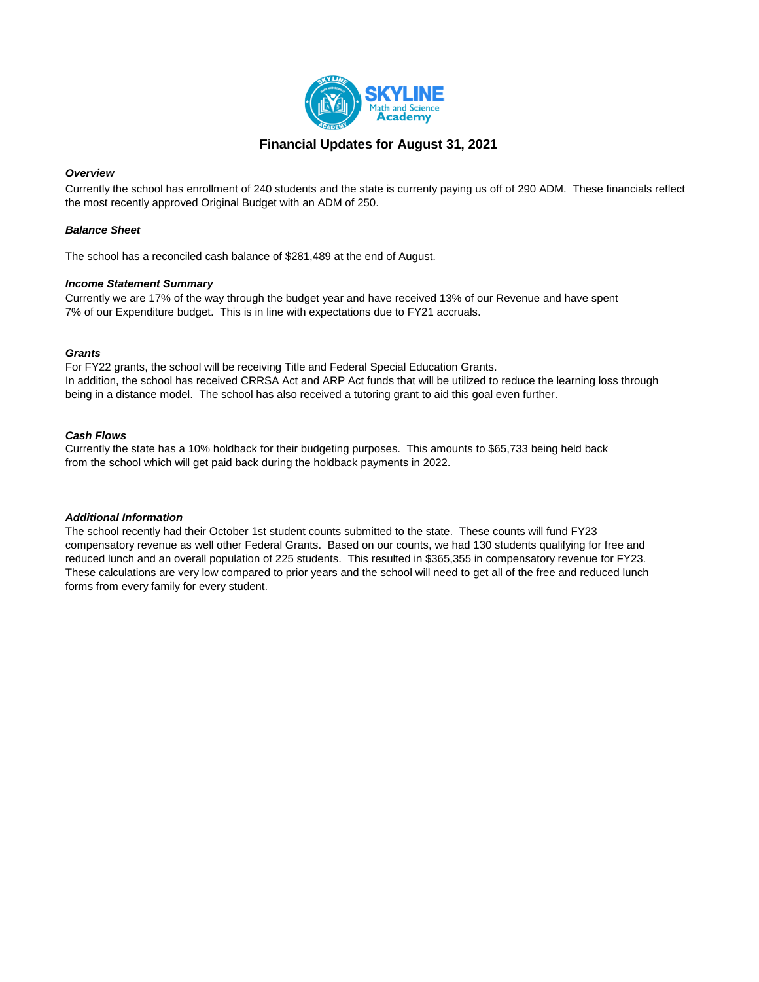

# **Financial Updates for August 31, 2021**

#### *Overview*

Currently the school has enrollment of 240 students and the state is currenty paying us off of 290 ADM. These financials reflect the most recently approved Original Budget with an ADM of 250.

### *Balance Sheet*

The school has a reconciled cash balance of \$281,489 at the end of August.

#### *Income Statement Summary*

Currently we are 17% of the way through the budget year and have received 13% of our Revenue and have spent 7% of our Expenditure budget. This is in line with expectations due to FY21 accruals.

#### *Grants*

For FY22 grants, the school will be receiving Title and Federal Special Education Grants. In addition, the school has received CRRSA Act and ARP Act funds that will be utilized to reduce the learning loss through being in a distance model. The school has also received a tutoring grant to aid this goal even further.

#### *Cash Flows*

Currently the state has a 10% holdback for their budgeting purposes. This amounts to \$65,733 being held back from the school which will get paid back during the holdback payments in 2022.

#### *Additional Information*

The school recently had their October 1st student counts submitted to the state. These counts will fund FY23 compensatory revenue as well other Federal Grants. Based on our counts, we had 130 students qualifying for free and reduced lunch and an overall population of 225 students. This resulted in \$365,355 in compensatory revenue for FY23. These calculations are very low compared to prior years and the school will need to get all of the free and reduced lunch forms from every family for every student.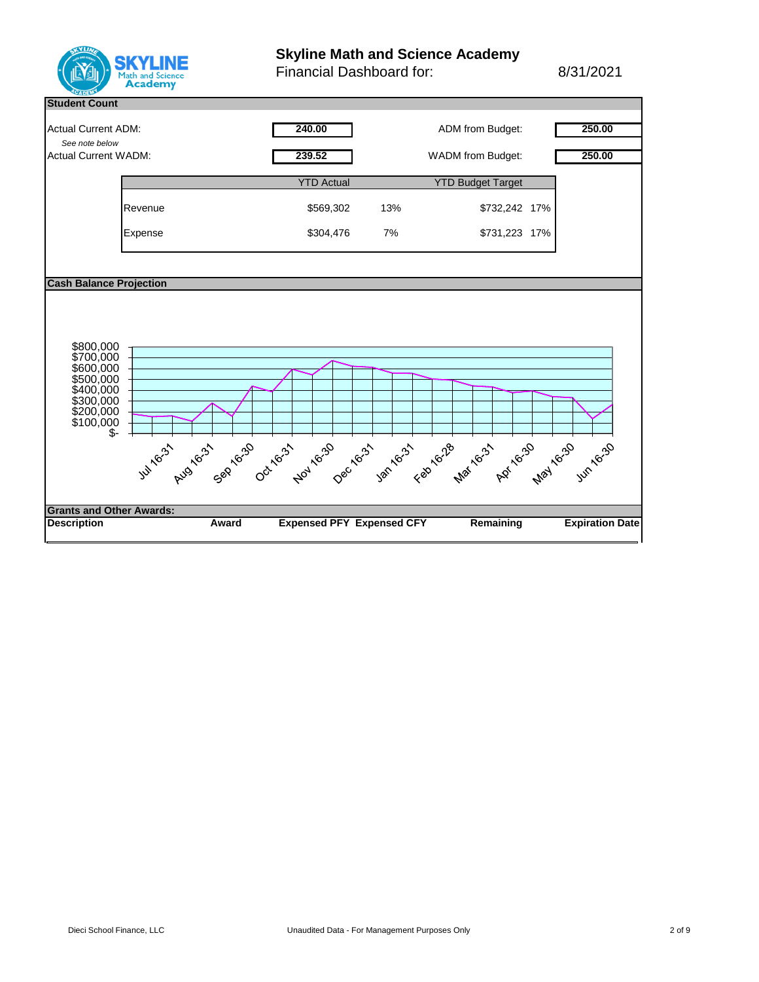

# **Skyline Math and Science Academy**

Financial Dashboard for: 8/31/2021

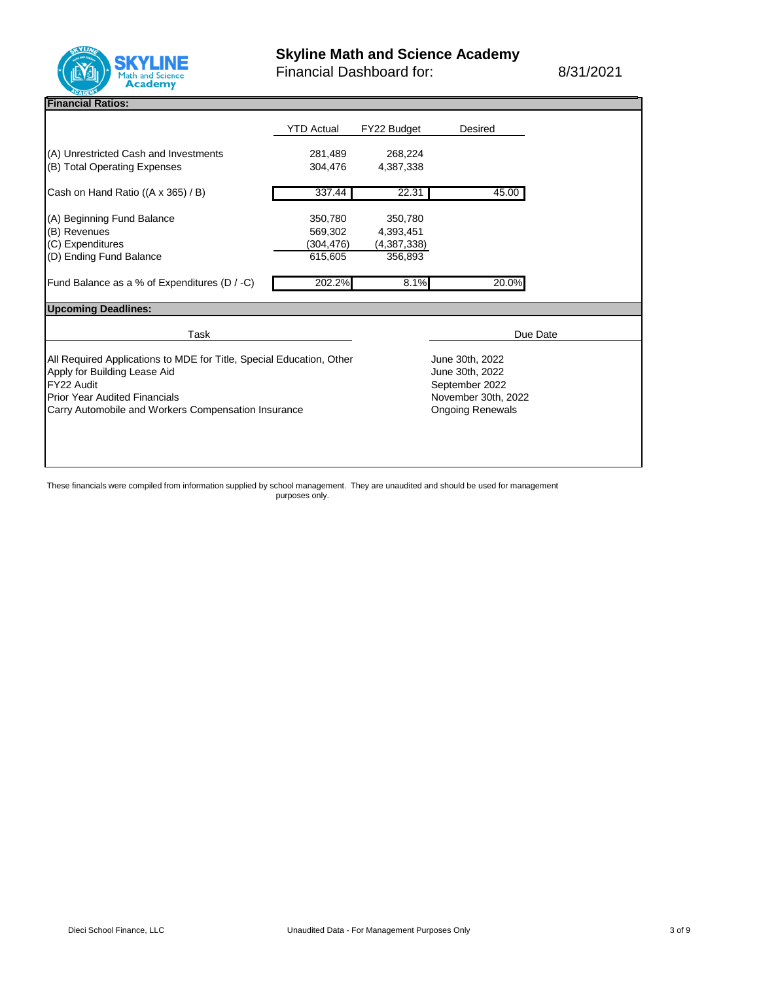

Financial Dashboard for: 8/31/2021

## **Financial Ratios:**

|                                                                       | <b>YTD Actual</b>       | FY22 Budget            | Desired                           |  |  |
|-----------------------------------------------------------------------|-------------------------|------------------------|-----------------------------------|--|--|
| (A) Unrestricted Cash and Investments<br>(B) Total Operating Expenses | 281,489<br>304,476      | 268,224<br>4,387,338   |                                   |  |  |
| Cash on Hand Ratio ((A x 365) / B)                                    | 337.44                  | 22.31                  | 45.00                             |  |  |
| (A) Beginning Fund Balance                                            | 350,780                 | 350,780                |                                   |  |  |
| (B) Revenues                                                          | 569,302                 | 4,393,451              |                                   |  |  |
| (C) Expenditures<br>(D) Ending Fund Balance                           | (304, 476)<br>615,605   | (4,387,338)<br>356,893 |                                   |  |  |
|                                                                       |                         |                        |                                   |  |  |
| Fund Balance as a % of Expenditures (D / -C)                          | 202.2%                  | 8.1%                   | 20.0%                             |  |  |
| <b>Upcoming Deadlines:</b>                                            |                         |                        |                                   |  |  |
| Task                                                                  |                         |                        | Due Date                          |  |  |
|                                                                       |                         |                        |                                   |  |  |
| All Required Applications to MDE for Title, Special Education, Other  |                         |                        | June 30th, 2022                   |  |  |
| Apply for Building Lease Aid<br>FY22 Audit                            |                         |                        | June 30th, 2022<br>September 2022 |  |  |
| <b>Prior Year Audited Financials</b>                                  |                         |                        | November 30th, 2022               |  |  |
| Carry Automobile and Workers Compensation Insurance                   | <b>Ongoing Renewals</b> |                        |                                   |  |  |
|                                                                       |                         |                        |                                   |  |  |
|                                                                       |                         |                        |                                   |  |  |
|                                                                       |                         |                        |                                   |  |  |
|                                                                       |                         |                        |                                   |  |  |

These financials were compiled from information supplied by school management. They are unaudited and should be used for management purposes only.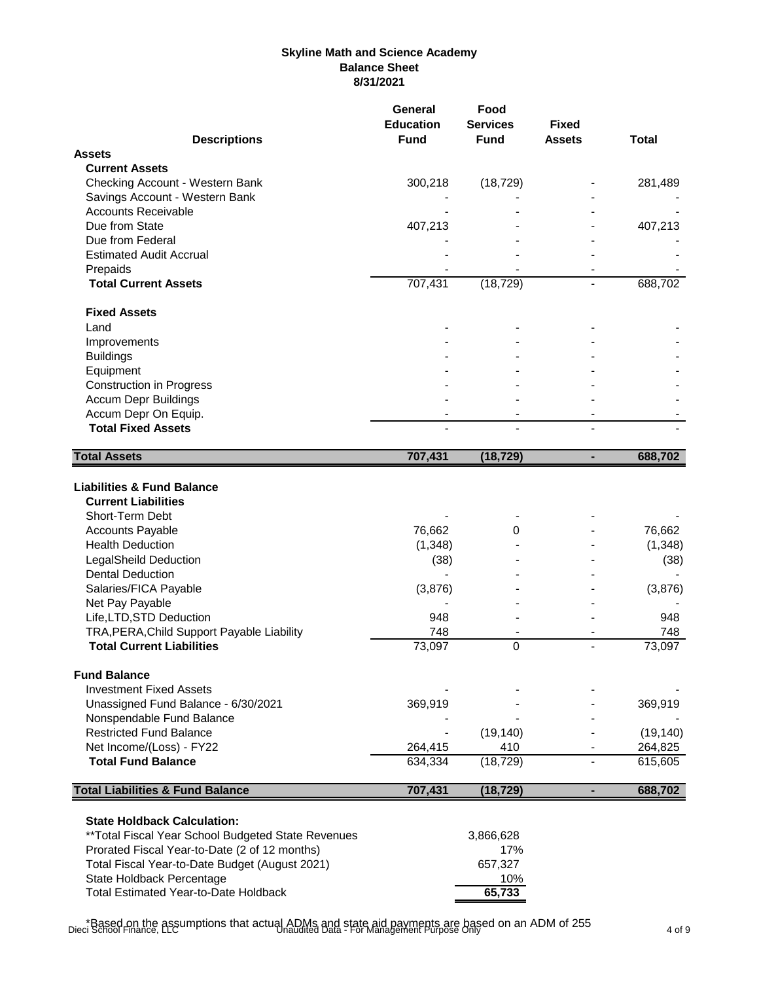# **Skyline Math and Science Academy Balance Sheet 8/31/2021**

|                                                                                                                                                                                                                                                                                                                                                                                                                                                                   | <b>General</b><br><b>Education</b>                                       | Food<br><b>Services</b>                      | Fixed          |                                                                          |
|-------------------------------------------------------------------------------------------------------------------------------------------------------------------------------------------------------------------------------------------------------------------------------------------------------------------------------------------------------------------------------------------------------------------------------------------------------------------|--------------------------------------------------------------------------|----------------------------------------------|----------------|--------------------------------------------------------------------------|
| <b>Descriptions</b>                                                                                                                                                                                                                                                                                                                                                                                                                                               | <b>Fund</b>                                                              | <b>Fund</b>                                  | <b>Assets</b>  | <b>Total</b>                                                             |
| <b>Assets</b>                                                                                                                                                                                                                                                                                                                                                                                                                                                     |                                                                          |                                              |                |                                                                          |
| <b>Current Assets</b>                                                                                                                                                                                                                                                                                                                                                                                                                                             |                                                                          |                                              |                |                                                                          |
| Checking Account - Western Bank                                                                                                                                                                                                                                                                                                                                                                                                                                   | 300,218                                                                  | (18, 729)                                    |                | 281,489                                                                  |
| Savings Account - Western Bank                                                                                                                                                                                                                                                                                                                                                                                                                                    |                                                                          |                                              |                |                                                                          |
| <b>Accounts Receivable</b>                                                                                                                                                                                                                                                                                                                                                                                                                                        |                                                                          |                                              |                |                                                                          |
| Due from State                                                                                                                                                                                                                                                                                                                                                                                                                                                    | 407,213                                                                  |                                              |                | 407,213                                                                  |
| Due from Federal                                                                                                                                                                                                                                                                                                                                                                                                                                                  |                                                                          |                                              |                |                                                                          |
| <b>Estimated Audit Accrual</b>                                                                                                                                                                                                                                                                                                                                                                                                                                    |                                                                          |                                              |                |                                                                          |
| Prepaids                                                                                                                                                                                                                                                                                                                                                                                                                                                          |                                                                          |                                              |                |                                                                          |
| <b>Total Current Assets</b>                                                                                                                                                                                                                                                                                                                                                                                                                                       | 707,431                                                                  | (18, 729)                                    |                | 688,702                                                                  |
| <b>Fixed Assets</b>                                                                                                                                                                                                                                                                                                                                                                                                                                               |                                                                          |                                              |                |                                                                          |
| Land                                                                                                                                                                                                                                                                                                                                                                                                                                                              |                                                                          |                                              |                |                                                                          |
| Improvements                                                                                                                                                                                                                                                                                                                                                                                                                                                      |                                                                          |                                              |                |                                                                          |
| <b>Buildings</b>                                                                                                                                                                                                                                                                                                                                                                                                                                                  |                                                                          |                                              |                |                                                                          |
| Equipment                                                                                                                                                                                                                                                                                                                                                                                                                                                         |                                                                          |                                              |                |                                                                          |
| <b>Construction in Progress</b>                                                                                                                                                                                                                                                                                                                                                                                                                                   |                                                                          |                                              |                |                                                                          |
| <b>Accum Depr Buildings</b>                                                                                                                                                                                                                                                                                                                                                                                                                                       |                                                                          |                                              |                |                                                                          |
| Accum Depr On Equip.                                                                                                                                                                                                                                                                                                                                                                                                                                              |                                                                          |                                              |                |                                                                          |
| <b>Total Fixed Assets</b>                                                                                                                                                                                                                                                                                                                                                                                                                                         |                                                                          |                                              |                |                                                                          |
| <b>Total Assets</b>                                                                                                                                                                                                                                                                                                                                                                                                                                               | 707,431                                                                  | (18, 729)                                    | ä,             | 688,702                                                                  |
| <b>Liabilities &amp; Fund Balance</b><br><b>Current Liabilities</b><br>Short-Term Debt<br><b>Accounts Payable</b><br><b>Health Deduction</b><br><b>LegalSheild Deduction</b><br><b>Dental Deduction</b><br>Salaries/FICA Payable<br>Net Pay Payable<br>Life, LTD, STD Deduction<br>TRA, PERA, Child Support Payable Liability<br><b>Total Current Liabilities</b><br><b>Fund Balance</b><br><b>Investment Fixed Assets</b><br>Unassigned Fund Balance - 6/30/2021 | 76,662<br>(1, 348)<br>(38)<br>(3,876)<br>948<br>748<br>73,097<br>369,919 | 0<br>0                                       | $\overline{a}$ | 76,662<br>(1, 348)<br>(38)<br>(3,876)<br>948<br>748<br>73,097<br>369,919 |
|                                                                                                                                                                                                                                                                                                                                                                                                                                                                   |                                                                          |                                              |                |                                                                          |
| Nonspendable Fund Balance                                                                                                                                                                                                                                                                                                                                                                                                                                         |                                                                          |                                              |                |                                                                          |
| <b>Restricted Fund Balance</b>                                                                                                                                                                                                                                                                                                                                                                                                                                    |                                                                          | (19, 140)                                    |                | (19, 140)                                                                |
| Net Income/(Loss) - FY22                                                                                                                                                                                                                                                                                                                                                                                                                                          | 264,415                                                                  | 410                                          |                | 264,825                                                                  |
| <b>Total Fund Balance</b>                                                                                                                                                                                                                                                                                                                                                                                                                                         | 634,334                                                                  | (18, 729)                                    |                | 615,605                                                                  |
| <b>Total Liabilities &amp; Fund Balance</b>                                                                                                                                                                                                                                                                                                                                                                                                                       | 707,431                                                                  | (18, 729)                                    | ٠              | 688,702                                                                  |
| <b>State Holdback Calculation:</b><br>** Total Fiscal Year School Budgeted State Revenues<br>Prorated Fiscal Year-to-Date (2 of 12 months)<br>Total Fiscal Year-to-Date Budget (August 2021)<br>State Holdback Percentage<br><b>Total Estimated Year-to-Date Holdback</b>                                                                                                                                                                                         |                                                                          | 3,866,628<br>17%<br>657,327<br>10%<br>65,733 |                |                                                                          |

\*Based on the assumptions that actual ADMs and state aid payments are based on an ADM of 255 Dieci School Finance, LLC Unaudited Data - For Management Purpose Only 4 of 9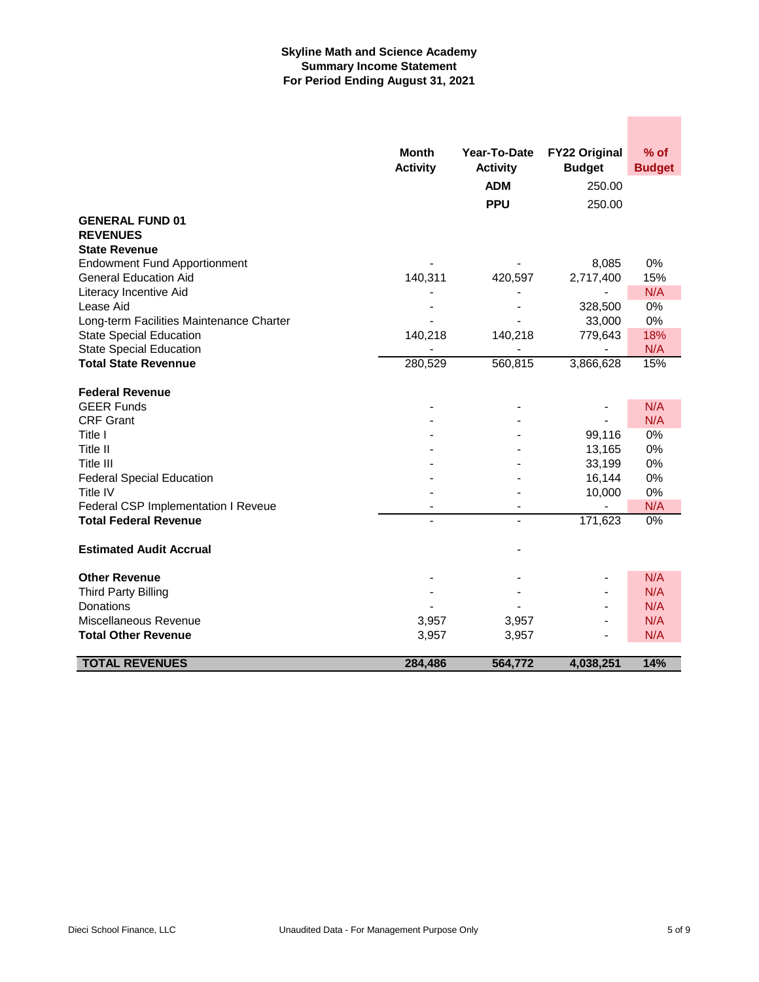# **Skyline Math and Science Academy Summary Income Statement For Period Ending August 31, 2021**

|                                          | <b>Month</b>    | Year-To-Date    | <b>FY22 Original</b> | % of          |
|------------------------------------------|-----------------|-----------------|----------------------|---------------|
|                                          | <b>Activity</b> | <b>Activity</b> | <b>Budget</b>        | <b>Budget</b> |
|                                          |                 | <b>ADM</b>      | 250.00               |               |
|                                          |                 | <b>PPU</b>      | 250.00               |               |
| <b>GENERAL FUND 01</b>                   |                 |                 |                      |               |
| <b>REVENUES</b>                          |                 |                 |                      |               |
| <b>State Revenue</b>                     |                 |                 |                      |               |
| <b>Endowment Fund Apportionment</b>      |                 |                 | 8,085                | $0\%$         |
| <b>General Education Aid</b>             | 140,311         | 420,597         | 2,717,400            | 15%           |
| Literacy Incentive Aid                   |                 |                 |                      | N/A           |
| Lease Aid                                |                 |                 | 328,500              | 0%            |
| Long-term Facilities Maintenance Charter |                 |                 | 33,000               | 0%            |
| <b>State Special Education</b>           | 140,218         | 140,218         | 779,643              | 18%           |
| <b>State Special Education</b>           |                 |                 |                      | N/A           |
| <b>Total State Revennue</b>              | 280,529         | 560,815         | 3,866,628            | 15%           |
| <b>Federal Revenue</b>                   |                 |                 |                      |               |
| <b>GEER Funds</b>                        |                 |                 |                      | N/A           |
| <b>CRF Grant</b>                         |                 |                 |                      | N/A           |
| Title I                                  |                 |                 | 99,116               | 0%            |
| Title II                                 |                 |                 | 13,165               | 0%            |
| Title III                                |                 |                 | 33,199               | 0%            |
| <b>Federal Special Education</b>         |                 |                 | 16,144               | 0%            |
| Title IV                                 |                 |                 | 10,000               | 0%            |
| Federal CSP Implementation I Reveue      |                 | $\blacksquare$  |                      | N/A           |
| <b>Total Federal Revenue</b>             |                 | $\overline{a}$  | 171,623              | 0%            |
| <b>Estimated Audit Accrual</b>           |                 |                 |                      |               |
| <b>Other Revenue</b>                     |                 |                 |                      | N/A           |
| <b>Third Party Billing</b>               |                 |                 |                      | N/A           |
| Donations                                |                 |                 |                      | N/A           |
| Miscellaneous Revenue                    | 3,957           | 3,957           |                      | N/A           |
| <b>Total Other Revenue</b>               | 3,957           | 3,957           |                      | N/A           |
| <b>TOTAL REVENUES</b>                    | 284,486         | 564,772         | 4,038,251            | 14%           |

 $\mathcal{L}^{\text{max}}_{\text{max}}$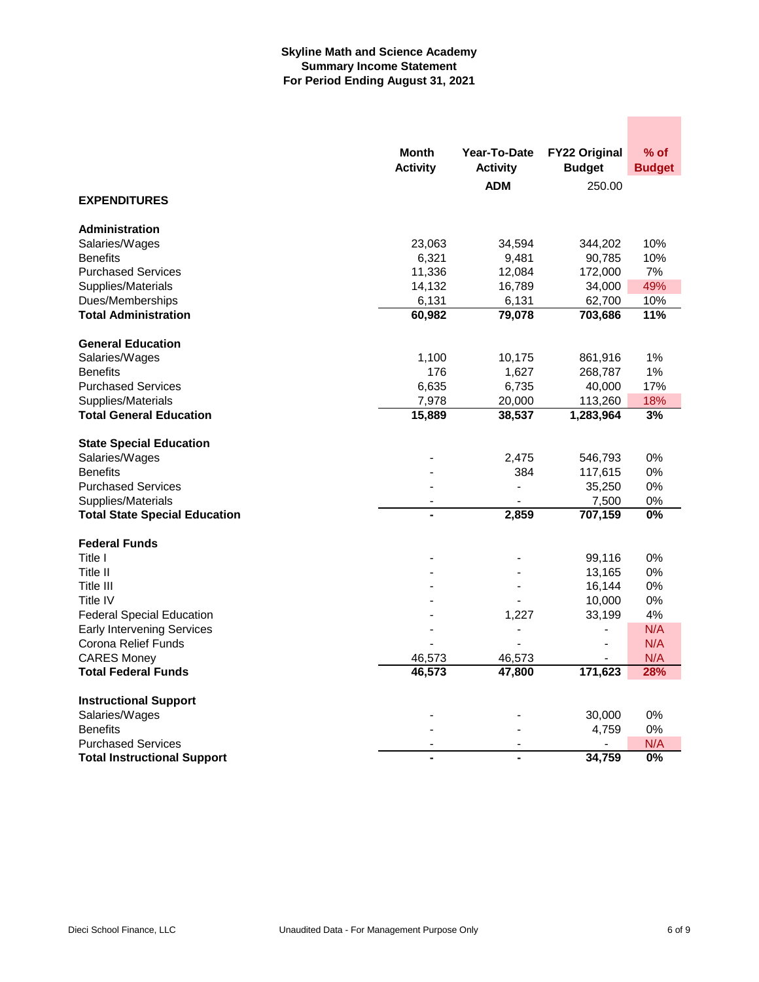# **Skyline Math and Science Academy Summary Income Statement For Period Ending August 31, 2021**

|                                      | <b>Month</b><br><b>Activity</b> | Year-To-Date<br><b>Activity</b> | <b>FY22 Original</b><br><b>Budget</b> | $%$ of<br><b>Budget</b> |
|--------------------------------------|---------------------------------|---------------------------------|---------------------------------------|-------------------------|
|                                      |                                 | <b>ADM</b>                      | 250.00                                |                         |
| <b>EXPENDITURES</b>                  |                                 |                                 |                                       |                         |
| <b>Administration</b>                |                                 |                                 |                                       |                         |
| Salaries/Wages                       | 23,063                          | 34,594                          | 344,202                               | 10%                     |
| <b>Benefits</b>                      | 6,321                           | 9,481                           | 90,785                                | 10%                     |
| <b>Purchased Services</b>            | 11,336                          | 12,084                          | 172,000                               | 7%                      |
| Supplies/Materials                   | 14,132                          | 16,789                          | 34,000                                | 49%                     |
| Dues/Memberships                     | 6,131                           | 6,131                           | 62,700                                | 10%                     |
| <b>Total Administration</b>          | 60,982                          | 79,078                          | 703,686                               | 11%                     |
| <b>General Education</b>             |                                 |                                 |                                       |                         |
| Salaries/Wages                       | 1,100                           | 10,175                          | 861,916                               | 1%                      |
| <b>Benefits</b>                      | 176                             | 1,627                           | 268,787                               | 1%                      |
| <b>Purchased Services</b>            | 6,635                           | 6,735                           | 40,000                                | 17%                     |
| Supplies/Materials                   | 7,978                           | 20,000                          | 113,260                               | 18%                     |
| <b>Total General Education</b>       | 15,889                          | 38,537                          | 1,283,964                             | 3%                      |
| <b>State Special Education</b>       |                                 |                                 |                                       |                         |
| Salaries/Wages                       |                                 | 2,475                           | 546,793                               | 0%                      |
| <b>Benefits</b>                      |                                 | 384                             | 117,615                               | 0%                      |
| <b>Purchased Services</b>            |                                 | $\blacksquare$                  | 35,250                                | 0%                      |
| Supplies/Materials                   |                                 |                                 | 7,500                                 | 0%                      |
| <b>Total State Special Education</b> | L,                              | 2,859                           | 707,159                               | $\overline{0\%}$        |
| <b>Federal Funds</b>                 |                                 |                                 |                                       |                         |
| Title I                              |                                 |                                 | 99,116                                | 0%                      |
| Title II                             |                                 |                                 | 13,165                                | 0%                      |
| Title III                            |                                 |                                 | 16,144                                | 0%                      |
| Title IV                             |                                 |                                 | 10,000                                | 0%                      |
| <b>Federal Special Education</b>     |                                 | 1,227                           | 33,199                                | 4%                      |
| <b>Early Intervening Services</b>    |                                 |                                 | $\overline{a}$                        | N/A                     |
| Corona Relief Funds                  |                                 |                                 | $\frac{1}{2}$                         | N/A                     |
| <b>CARES Money</b>                   | 46,573                          | 46,573                          |                                       | N/A                     |
| <b>Total Federal Funds</b>           | 46,573                          | 47,800                          | 171,623                               | 28%                     |
| <b>Instructional Support</b>         |                                 |                                 |                                       |                         |
| Salaries/Wages                       |                                 |                                 | 30,000                                | 0%                      |
| <b>Benefits</b>                      |                                 |                                 | 4,759                                 | 0%                      |
| <b>Purchased Services</b>            | $\overline{\phantom{a}}$        | $\overline{\phantom{a}}$        |                                       | N/A                     |
| <b>Total Instructional Support</b>   | ÷                               | ۰                               | 34.759                                | 0%                      |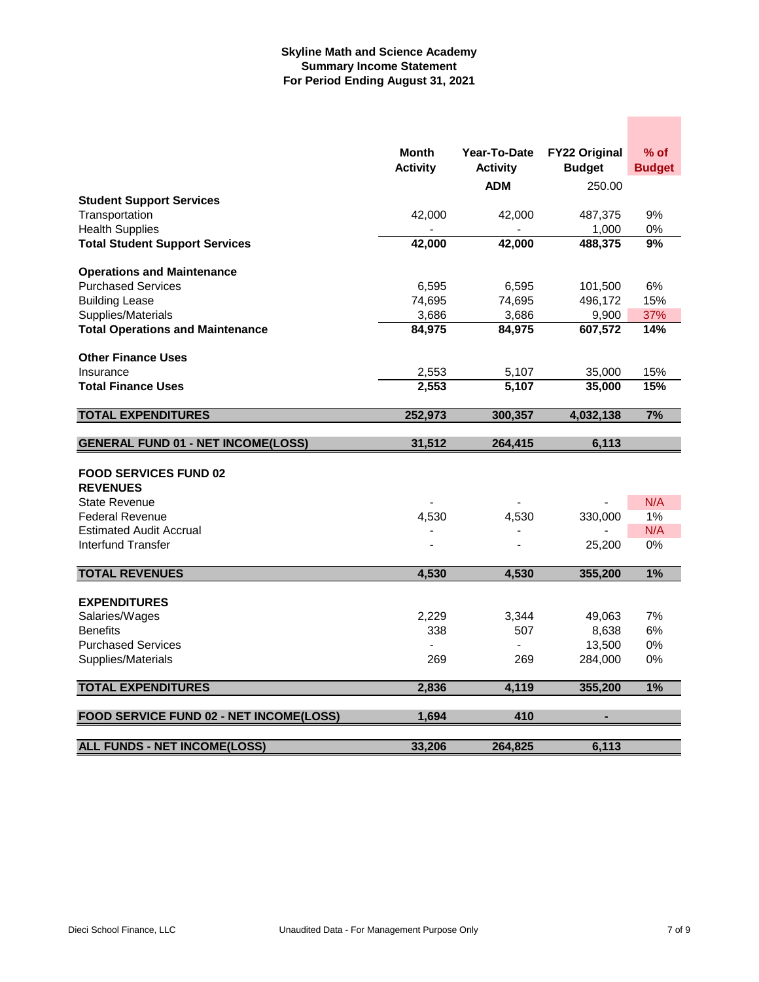# **Skyline Math and Science Academy Summary Income Statement For Period Ending August 31, 2021**

|                                           | Month<br><b>Activity</b> | Year-To-Date<br><b>Activity</b> | <b>FY22 Original</b><br><b>Budget</b> | $%$ of<br><b>Budget</b> |
|-------------------------------------------|--------------------------|---------------------------------|---------------------------------------|-------------------------|
|                                           |                          | <b>ADM</b>                      | 250.00                                |                         |
| <b>Student Support Services</b>           |                          |                                 |                                       | 9%                      |
| Transportation<br><b>Health Supplies</b>  | 42,000                   | 42,000                          | 487,375<br>1,000                      | 0%                      |
| <b>Total Student Support Services</b>     | 42,000                   | 42,000                          | 488,375                               | 9%                      |
|                                           |                          |                                 |                                       |                         |
| <b>Operations and Maintenance</b>         |                          |                                 |                                       |                         |
| <b>Purchased Services</b>                 | 6,595                    | 6,595                           | 101,500                               | 6%                      |
| <b>Building Lease</b>                     | 74,695                   | 74,695                          | 496,172                               | 15%                     |
| Supplies/Materials                        | 3,686                    | 3,686                           | 9,900                                 | 37%                     |
| <b>Total Operations and Maintenance</b>   | 84,975                   | 84,975                          | 607,572                               | 14%                     |
| <b>Other Finance Uses</b>                 |                          |                                 |                                       |                         |
| Insurance                                 | 2,553                    | 5,107                           | 35,000                                | 15%                     |
| <b>Total Finance Uses</b>                 | 2,553                    | 5,107                           | 35,000                                | 15%                     |
| <b>TOTAL EXPENDITURES</b>                 | 252,973                  | 300,357                         | 4,032,138                             | 7%                      |
|                                           |                          |                                 |                                       |                         |
| <b>GENERAL FUND 01 - NET INCOME(LOSS)</b> | 31,512                   | 264,415                         | 6,113                                 |                         |
| <b>FOOD SERVICES FUND 02</b>              |                          |                                 |                                       |                         |
| <b>REVENUES</b>                           |                          |                                 |                                       |                         |
| <b>State Revenue</b>                      |                          |                                 |                                       | N/A                     |
| <b>Federal Revenue</b>                    | 4,530                    | 4,530                           | 330,000                               | 1%                      |
| <b>Estimated Audit Accrual</b>            |                          |                                 |                                       | N/A                     |
| Interfund Transfer                        |                          |                                 | 25,200                                | 0%                      |
| <b>TOTAL REVENUES</b>                     | 4,530                    | 4,530                           | 355,200                               | 1%                      |
|                                           |                          |                                 |                                       |                         |
| <b>EXPENDITURES</b>                       |                          |                                 |                                       |                         |
| Salaries/Wages                            | 2,229                    | 3,344                           | 49,063                                | 7%                      |
| <b>Benefits</b>                           | 338                      | 507                             | 8,638                                 | 6%                      |
| <b>Purchased Services</b>                 |                          |                                 | 13,500                                | 0%                      |
| Supplies/Materials                        | 269                      | 269                             | 284,000                               | 0%                      |
| <b>TOTAL EXPENDITURES</b>                 | 2,836                    | 4,119                           | 355,200                               | 1%                      |
| FOOD SERVICE FUND 02 - NET INCOME(LOSS)   | 1,694                    | 410                             |                                       |                         |
|                                           |                          |                                 |                                       |                         |
| <b>ALL FUNDS - NET INCOME(LOSS)</b>       | 33,206                   | 264,825                         | 6,113                                 |                         |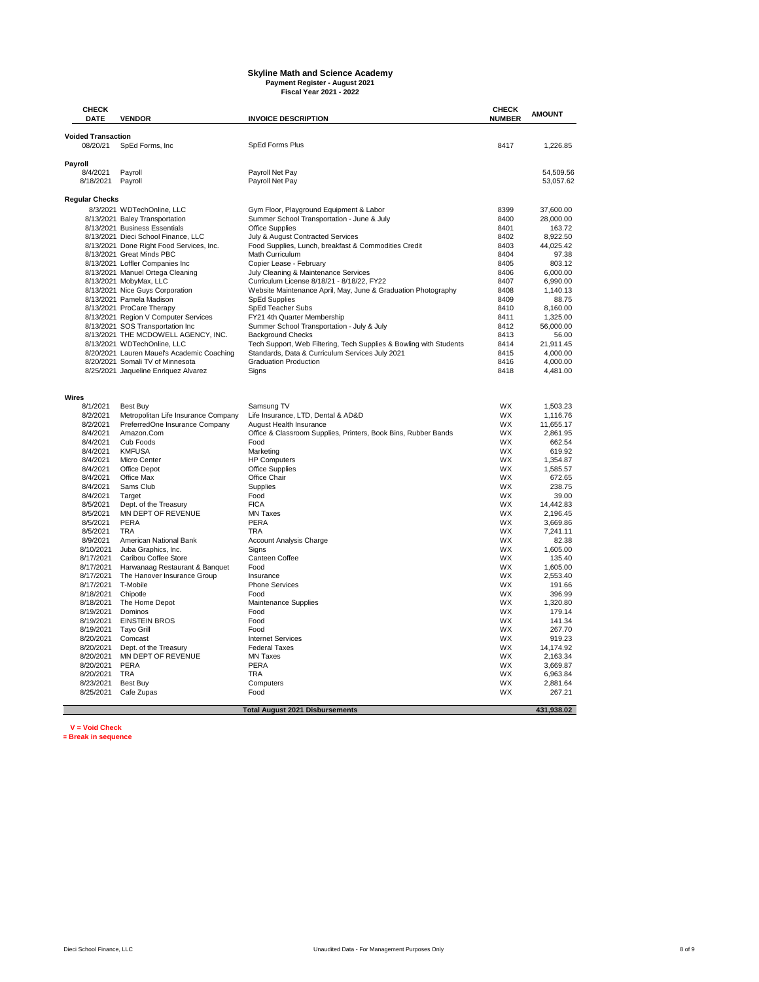# **Skyline Math and Science Academy Payment Register - August 2021 Fiscal Year 2021 - 2022**

| <b>CHECK</b><br><b>DATE</b>           | <b>VENDOR</b>                                                         | <b>INVOICE DESCRIPTION</b>                                              | <b>CHECK</b><br><b>NUMBER</b> | <b>AMOUNT</b>         |
|---------------------------------------|-----------------------------------------------------------------------|-------------------------------------------------------------------------|-------------------------------|-----------------------|
|                                       |                                                                       |                                                                         |                               |                       |
| <b>Voided Transaction</b><br>08/20/21 | SpEd Forms, Inc.                                                      | SpEd Forms Plus                                                         | 8417                          | 1,226.85              |
|                                       |                                                                       |                                                                         |                               |                       |
| Payroll                               |                                                                       |                                                                         |                               |                       |
| 8/4/2021                              | Payroll                                                               | Payroll Net Pay                                                         |                               | 54.509.56             |
| 8/18/2021                             | Payroll                                                               | Payroll Net Pay                                                         |                               | 53,057.62             |
| <b>Regular Checks</b>                 |                                                                       |                                                                         |                               |                       |
|                                       | 8/3/2021 WDTechOnline, LLC                                            | Gym Floor, Playground Equipment & Labor                                 | 8399                          | 37,600.00             |
|                                       | 8/13/2021 Baley Transportation                                        | Summer School Transportation - June & July                              | 8400                          | 28,000.00             |
|                                       | 8/13/2021 Business Essentials                                         | <b>Office Supplies</b>                                                  | 8401                          | 163.72                |
|                                       | 8/13/2021 Dieci School Finance, LLC                                   | July & August Contracted Services                                       | 8402                          | 8.922.50              |
|                                       | 8/13/2021 Done Right Food Services, Inc.<br>8/13/2021 Great Minds PBC | Food Supplies, Lunch, breakfast & Commodities Credit<br>Math Curriculum | 8403<br>8404                  | 44,025.42<br>97.38    |
|                                       | 8/13/2021 Loffler Companies Inc                                       | Copier Lease - February                                                 | 8405                          | 803.12                |
|                                       | 8/13/2021 Manuel Ortega Cleaning                                      | July Cleaning & Maintenance Services                                    | 8406                          | 6,000.00              |
|                                       | 8/13/2021 MobyMax, LLC                                                | Curriculum License 8/18/21 - 8/18/22, FY22                              | 8407                          | 6,990.00              |
|                                       | 8/13/2021 Nice Guys Corporation                                       | Website Maintenance April, May, June & Graduation Photography           | 8408                          | 1,140.13              |
|                                       | 8/13/2021 Pamela Madison                                              | <b>SpEd Supplies</b>                                                    | 8409                          | 88.75                 |
|                                       | 8/13/2021 ProCare Therapy<br>8/13/2021 Region V Computer Services     | SpEd Teacher Subs<br>FY21 4th Quarter Membership                        | 8410<br>8411                  | 8.160.00<br>1,325.00  |
|                                       | 8/13/2021 SOS Transportation Inc                                      | Summer School Transportation - July & July                              | 8412                          | 56,000.00             |
|                                       | 8/13/2021 THE MCDOWELL AGENCY, INC.                                   | <b>Background Checks</b>                                                | 8413                          | 56.00                 |
|                                       | 8/13/2021 WDTechOnline, LLC                                           | Tech Support, Web Filtering, Tech Supplies & Bowling with Students      | 8414                          | 21,911.45             |
|                                       | 8/20/2021 Lauren Mauel's Academic Coaching                            | Standards, Data & Curriculum Services July 2021                         | 8415                          | 4,000.00              |
|                                       | 8/20/2021 Somali TV of Minnesota                                      | <b>Graduation Production</b>                                            | 8416                          | 4,000.00              |
|                                       | 8/25/2021 Jaqueline Enriquez Alvarez                                  | Signs                                                                   | 8418                          | 4,481.00              |
|                                       |                                                                       |                                                                         |                               |                       |
| Wires                                 |                                                                       |                                                                         |                               |                       |
| 8/1/2021                              | Best Buy                                                              | Samsung TV                                                              | WX                            | 1,503.23              |
| 8/2/2021<br>8/2/2021                  | Metropolitan Life Insurance Company<br>PreferredOne Insurance Company | Life Insurance, LTD, Dental & AD&D<br>August Health Insurance           | WX<br>WX                      | 1,116.76<br>11,655.17 |
| 8/4/2021                              | Amazon.Com                                                            | Office & Classroom Supplies, Printers, Book Bins, Rubber Bands          | WX                            | 2,861.95              |
| 8/4/2021                              | Cub Foods                                                             | Food                                                                    | WX                            | 662.54                |
| 8/4/2021                              | <b>KMFUSA</b>                                                         | Marketing                                                               | WX                            | 619.92                |
| 8/4/2021                              | Micro Center                                                          | <b>HP Computers</b>                                                     | WX                            | 1,354.87              |
| 8/4/2021                              | Office Depot                                                          | <b>Office Supplies</b>                                                  | WX                            | 1,585.57              |
| 8/4/2021<br>8/4/2021                  | Office Max<br>Sams Club                                               | Office Chair<br>Supplies                                                | WX<br><b>WX</b>               | 672.65<br>238.75      |
| 8/4/2021                              | Target                                                                | Food                                                                    | WX                            | 39.00                 |
| 8/5/2021                              | Dept. of the Treasury                                                 | <b>FICA</b>                                                             | WX                            | 14,442.83             |
| 8/5/2021                              | MN DEPT OF REVENUE                                                    | <b>MN Taxes</b>                                                         | WX                            | 2.196.45              |
| 8/5/2021                              | PERA                                                                  | PERA                                                                    | WX                            | 3,669.86              |
| 8/5/2021                              | <b>TRA</b>                                                            | <b>TRA</b>                                                              | <b>WX</b>                     | 7.241.11              |
| 8/9/2021                              | American National Bank                                                | <b>Account Analysis Charge</b>                                          | <b>WX</b>                     | 82.38                 |
| 8/10/2021<br>8/17/2021                | Juba Graphics, Inc.<br>Caribou Coffee Store                           | Signs<br>Canteen Coffee                                                 | WX<br><b>WX</b>               | 1,605.00<br>135.40    |
| 8/17/2021                             | Harwanaag Restaurant & Banquet                                        | Food                                                                    | <b>WX</b>                     | 1,605.00              |
| 8/17/2021                             | The Hanover Insurance Group                                           | Insurance                                                               | WX                            | 2,553.40              |
| 8/17/2021                             | T-Mobile                                                              | <b>Phone Services</b>                                                   | <b>WX</b>                     | 191.66                |
| 8/18/2021                             | Chipotle                                                              | Food                                                                    | WX                            | 396.99                |
| 8/18/2021                             | The Home Depot                                                        | Maintenance Supplies                                                    | WX                            | 1,320.80              |
| 8/19/2021<br>8/19/2021                | Dominos<br><b>EINSTEIN BROS</b>                                       | Food<br>Food                                                            | <b>WX</b><br>WX               | 179.14<br>141.34      |
| 8/19/2021                             | <b>Tayo Grill</b>                                                     | Food                                                                    | <b>WX</b>                     | 267.70                |
| 8/20/2021                             | Comcast                                                               | <b>Internet Services</b>                                                | WX                            | 919.23                |
| 8/20/2021                             | Dept. of the Treasury                                                 | <b>Federal Taxes</b>                                                    | WX                            | 14,174.92             |
| 8/20/2021                             | MN DEPT OF REVENUE                                                    | <b>MN Taxes</b>                                                         | <b>WX</b>                     | 2,163.34              |
| 8/20/2021                             | PERA                                                                  | PERA                                                                    | WX                            | 3,669.87              |
| 8/20/2021<br>8/23/2021                | <b>TRA</b><br>Best Buy                                                | <b>TRA</b><br>Computers                                                 | WX<br><b>WX</b>               | 6,963.84<br>2,881.64  |
| 8/25/2021                             | Cafe Zupas                                                            | Food                                                                    | WX                            | 267.21                |
|                                       |                                                                       |                                                                         |                               |                       |
|                                       |                                                                       | <b>Total August 2021 Disbursements</b>                                  |                               | 431,938.02            |

**V = Void Check \*= Break in sequence**